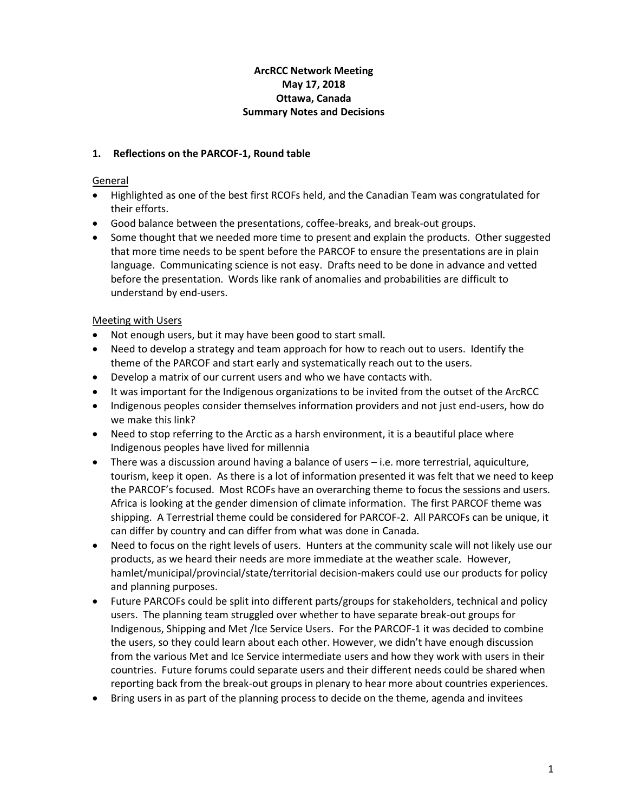# **ArcRCC Network Meeting May 17, 2018 Ottawa, Canada Summary Notes and Decisions**

# **1. Reflections on the PARCOF-1, Round table**

## **General**

- Highlighted as one of the best first RCOFs held, and the Canadian Team was congratulated for their efforts.
- Good balance between the presentations, coffee-breaks, and break-out groups.
- Some thought that we needed more time to present and explain the products. Other suggested that more time needs to be spent before the PARCOF to ensure the presentations are in plain language. Communicating science is not easy. Drafts need to be done in advance and vetted before the presentation. Words like rank of anomalies and probabilities are difficult to understand by end-users.

# Meeting with Users

- Not enough users, but it may have been good to start small.
- Need to develop a strategy and team approach for how to reach out to users. Identify the theme of the PARCOF and start early and systematically reach out to the users.
- Develop a matrix of our current users and who we have contacts with.
- It was important for the Indigenous organizations to be invited from the outset of the ArcRCC
- Indigenous peoples consider themselves information providers and not just end-users, how do we make this link?
- Need to stop referring to the Arctic as a harsh environment, it is a beautiful place where Indigenous peoples have lived for millennia
- There was a discussion around having a balance of users i.e. more terrestrial, aquiculture, tourism, keep it open. As there is a lot of information presented it was felt that we need to keep the PARCOF's focused. Most RCOFs have an overarching theme to focus the sessions and users. Africa is looking at the gender dimension of climate information. The first PARCOF theme was shipping. A Terrestrial theme could be considered for PARCOF-2. All PARCOFs can be unique, it can differ by country and can differ from what was done in Canada.
- Need to focus on the right levels of users. Hunters at the community scale will not likely use our products, as we heard their needs are more immediate at the weather scale. However, hamlet/municipal/provincial/state/territorial decision-makers could use our products for policy and planning purposes.
- Future PARCOFs could be split into different parts/groups for stakeholders, technical and policy users. The planning team struggled over whether to have separate break-out groups for Indigenous, Shipping and Met /Ice Service Users. For the PARCOF-1 it was decided to combine the users, so they could learn about each other. However, we didn't have enough discussion from the various Met and Ice Service intermediate users and how they work with users in their countries. Future forums could separate users and their different needs could be shared when reporting back from the break-out groups in plenary to hear more about countries experiences.
- Bring users in as part of the planning process to decide on the theme, agenda and invitees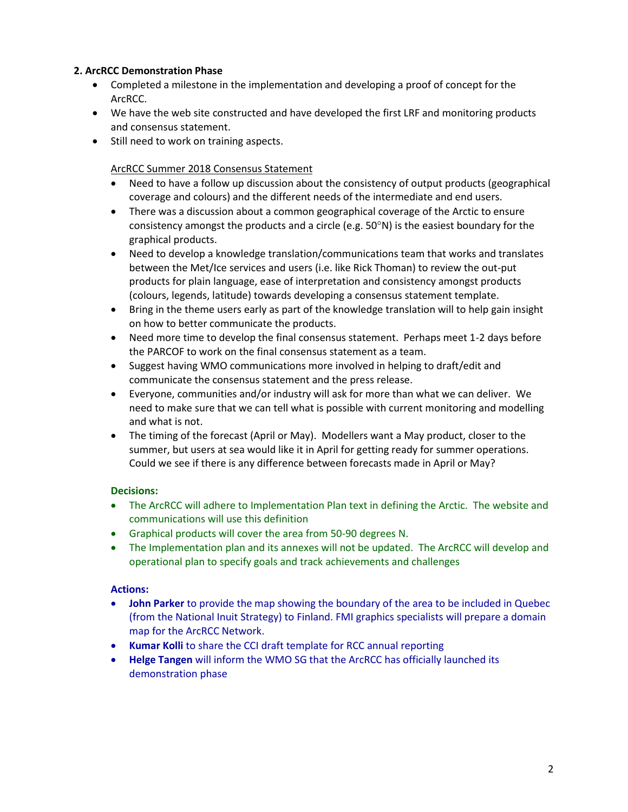# **2. ArcRCC Demonstration Phase**

- Completed a milestone in the implementation and developing a proof of concept for the ArcRCC.
- We have the web site constructed and have developed the first LRF and monitoring products and consensus statement.
- Still need to work on training aspects.

### ArcRCC Summer 2018 Consensus Statement

- Need to have a follow up discussion about the consistency of output products (geographical coverage and colours) and the different needs of the intermediate and end users.
- There was a discussion about a common geographical coverage of the Arctic to ensure consistency amongst the products and a circle (e.g.  $50^{\circ}$ N) is the easiest boundary for the graphical products.
- Need to develop a knowledge translation/communications team that works and translates between the Met/Ice services and users (i.e. like Rick Thoman) to review the out-put products for plain language, ease of interpretation and consistency amongst products (colours, legends, latitude) towards developing a consensus statement template.
- Bring in the theme users early as part of the knowledge translation will to help gain insight on how to better communicate the products.
- Need more time to develop the final consensus statement. Perhaps meet 1-2 days before the PARCOF to work on the final consensus statement as a team.
- Suggest having WMO communications more involved in helping to draft/edit and communicate the consensus statement and the press release.
- Everyone, communities and/or industry will ask for more than what we can deliver. We need to make sure that we can tell what is possible with current monitoring and modelling and what is not.
- The timing of the forecast (April or May). Modellers want a May product, closer to the summer, but users at sea would like it in April for getting ready for summer operations. Could we see if there is any difference between forecasts made in April or May?

### **Decisions:**

- The ArcRCC will adhere to Implementation Plan text in defining the Arctic. The website and communications will use this definition
- Graphical products will cover the area from 50-90 degrees N.
- The Implementation plan and its annexes will not be updated. The ArcRCC will develop and operational plan to specify goals and track achievements and challenges

# **Actions:**

- **John Parker** to provide the map showing the boundary of the area to be included in Quebec (from the National Inuit Strategy) to Finland. FMI graphics specialists will prepare a domain map for the ArcRCC Network.
- **Kumar Kolli** to share the CCI draft template for RCC annual reporting
- **Helge Tangen** will inform the WMO SG that the ArcRCC has officially launched its demonstration phase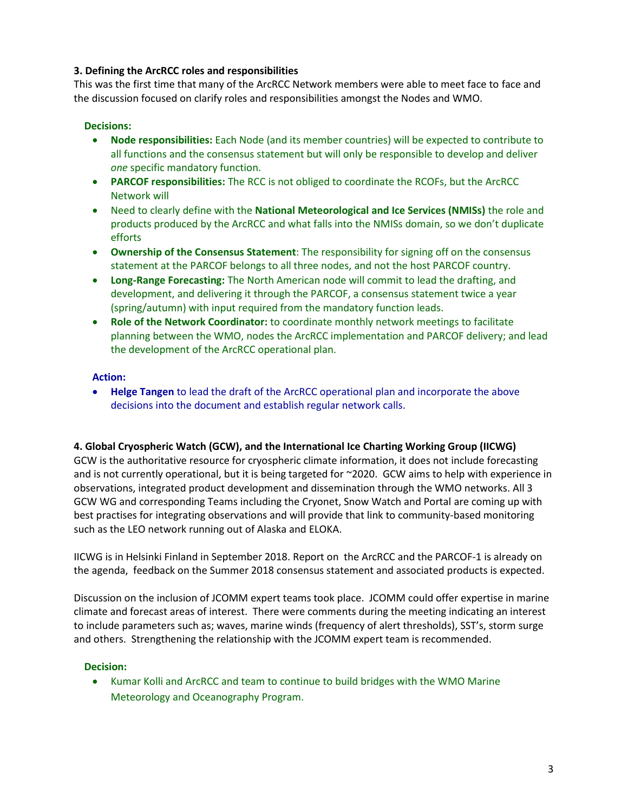# **3. Defining the ArcRCC roles and responsibilities**

This was the first time that many of the ArcRCC Network members were able to meet face to face and the discussion focused on clarify roles and responsibilities amongst the Nodes and WMO.

### **Decisions:**

- **Node responsibilities:** Each Node (and its member countries) will be expected to contribute to all functions and the consensus statement but will only be responsible to develop and deliver *one* specific mandatory function.
- **PARCOF responsibilities:** The RCC is not obliged to coordinate the RCOFs, but the ArcRCC Network will
- Need to clearly define with the **National Meteorological and Ice Services (NMISs)** the role and products produced by the ArcRCC and what falls into the NMISs domain, so we don't duplicate efforts
- **Ownership of the Consensus Statement**: The responsibility for signing off on the consensus statement at the PARCOF belongs to all three nodes, and not the host PARCOF country.
- **Long-Range Forecasting:** The North American node will commit to lead the drafting, and development, and delivering it through the PARCOF, a consensus statement twice a year (spring/autumn) with input required from the mandatory function leads.
- **Role of the Network Coordinator:** to coordinate monthly network meetings to facilitate planning between the WMO, nodes the ArcRCC implementation and PARCOF delivery; and lead the development of the ArcRCC operational plan.

### **Action:**

 **Helge Tangen** to lead the draft of the ArcRCC operational plan and incorporate the above decisions into the document and establish regular network calls.

### **4. Global Cryospheric Watch (GCW), and the International Ice Charting Working Group (IICWG)**

GCW is the authoritative resource for cryospheric climate information, it does not include forecasting and is not currently operational, but it is being targeted for ~2020. GCW aims to help with experience in observations, integrated product development and dissemination through the WMO networks. All 3 GCW WG and corresponding Teams including the Cryonet, Snow Watch and Portal are coming up with best practises for integrating observations and will provide that link to community-based monitoring such as the LEO network running out of Alaska and ELOKA.

IICWG is in Helsinki Finland in September 2018. Report on the ArcRCC and the PARCOF-1 is already on the agenda, feedback on the Summer 2018 consensus statement and associated products is expected.

Discussion on the inclusion of JCOMM expert teams took place. JCOMM could offer expertise in marine climate and forecast areas of interest. There were comments during the meeting indicating an interest to include parameters such as; waves, marine winds (frequency of alert thresholds), SST's, storm surge and others. Strengthening the relationship with the JCOMM expert team is recommended.

### **Decision:**

 Kumar Kolli and ArcRCC and team to continue to build bridges with the WMO Marine Meteorology and Oceanography Program.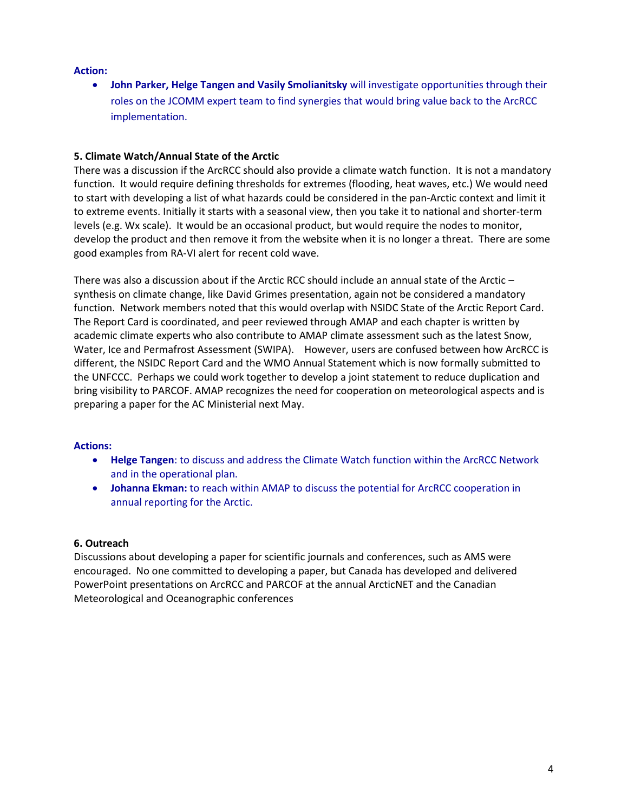### **Action:**

**• John Parker, Helge Tangen and Vasily Smolianitsky** will investigate opportunities through their roles on the JCOMM expert team to find synergies that would bring value back to the ArcRCC implementation.

### **5. Climate Watch/Annual State of the Arctic**

There was a discussion if the ArcRCC should also provide a climate watch function. It is not a mandatory function. It would require defining thresholds for extremes (flooding, heat waves, etc.) We would need to start with developing a list of what hazards could be considered in the pan-Arctic context and limit it to extreme events. Initially it starts with a seasonal view, then you take it to national and shorter-term levels (e.g. Wx scale). It would be an occasional product, but would require the nodes to monitor, develop the product and then remove it from the website when it is no longer a threat. There are some good examples from RA-VI alert for recent cold wave.

There was also a discussion about if the Arctic RCC should include an annual state of the Arctic – synthesis on climate change, like David Grimes presentation, again not be considered a mandatory function. Network members noted that this would overlap with NSIDC State of the Arctic Report Card. The Report Card is coordinated, and peer reviewed through AMAP and each chapter is written by academic climate experts who also contribute to AMAP climate assessment such as the latest Snow, Water, Ice and Permafrost Assessment (SWIPA). However, users are confused between how ArcRCC is different, the NSIDC Report Card and the WMO Annual Statement which is now formally submitted to the UNFCCC. Perhaps we could work together to develop a joint statement to reduce duplication and bring visibility to PARCOF. AMAP recognizes the need for cooperation on meteorological aspects and is preparing a paper for the AC Ministerial next May.

### **Actions:**

- **Helge Tangen**: to discuss and address the Climate Watch function within the ArcRCC Network and in the operational plan.
- **Johanna Ekman:** to reach within AMAP to discuss the potential for ArcRCC cooperation in annual reporting for the Arctic.

### **6. Outreach**

Discussions about developing a paper for scientific journals and conferences, such as AMS were encouraged. No one committed to developing a paper, but Canada has developed and delivered PowerPoint presentations on ArcRCC and PARCOF at the annual ArcticNET and the Canadian Meteorological and Oceanographic conferences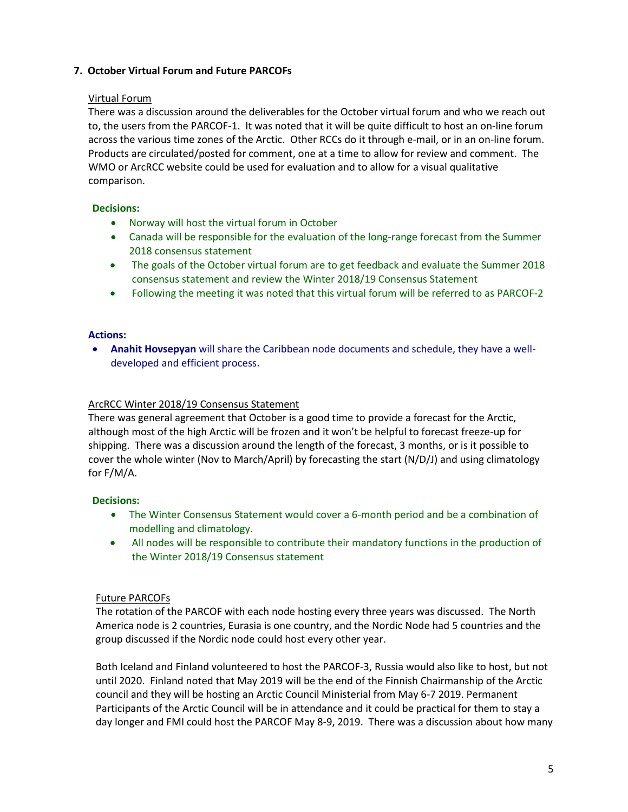# **7. October Virtual Forum and Future PARCOFs**

### Virtual Forum

There was a discussion around the deliverables for the October virtual forum and who we reach out to, the users from the PARCOF-1. It was noted that it will be quite difficult to host an on-line forum across the various time zones of the Arctic. Other RCCs do it through e-mail, or in an on-line forum. Products are circulated/posted for comment, one at a time to allow for review and comment. The WMO or ArcRCC website could be used for evaluation and to allow for a visual qualitative comparison.

## **Decisions:**

- Norway will host the virtual forum in October
- Canada will be responsible for the evaluation of the long-range forecast from the Summer 2018 consensus statement
- The goals of the October virtual forum are to get feedback and evaluate the Summer 2018 consensus statement and review the Winter 2018/19 Consensus Statement
- Following the meeting it was noted that this virtual forum will be referred to as PARCOF-2

### **Actions:**

 **Anahit Hovsepyan** will share the Caribbean node documents and schedule, they have a welldeveloped and efficient process.

### ArcRCC Winter 2018/19 Consensus Statement

There was general agreement that October is a good time to provide a forecast for the Arctic, although most of the high Arctic will be frozen and it won't be helpful to forecast freeze-up for shipping. There was a discussion around the length of the forecast, 3 months, or is it possible to cover the whole winter (Nov to March/April) by forecasting the start (N/D/J) and using climatology for F/M/A.

### **Decisions:**

- The Winter Consensus Statement would cover a 6-month period and be a combination of modelling and climatology.
- All nodes will be responsible to contribute their mandatory functions in the production of the Winter 2018/19 Consensus statement

### Future PARCOFs

The rotation of the PARCOF with each node hosting every three years was discussed. The North America node is 2 countries, Eurasia is one country, and the Nordic Node had 5 countries and the group discussed if the Nordic node could host every other year.

Both Iceland and Finland volunteered to host the PARCOF-3, Russia would also like to host, but not until 2020. Finland noted that May 2019 will be the end of the Finnish Chairmanship of the Arctic council and they will be hosting an Arctic Council Ministerial from May 6-7 2019. Permanent Participants of the Arctic Council will be in attendance and it could be practical for them to stay a day longer and FMI could host the PARCOF May 8-9, 2019. There was a discussion about how many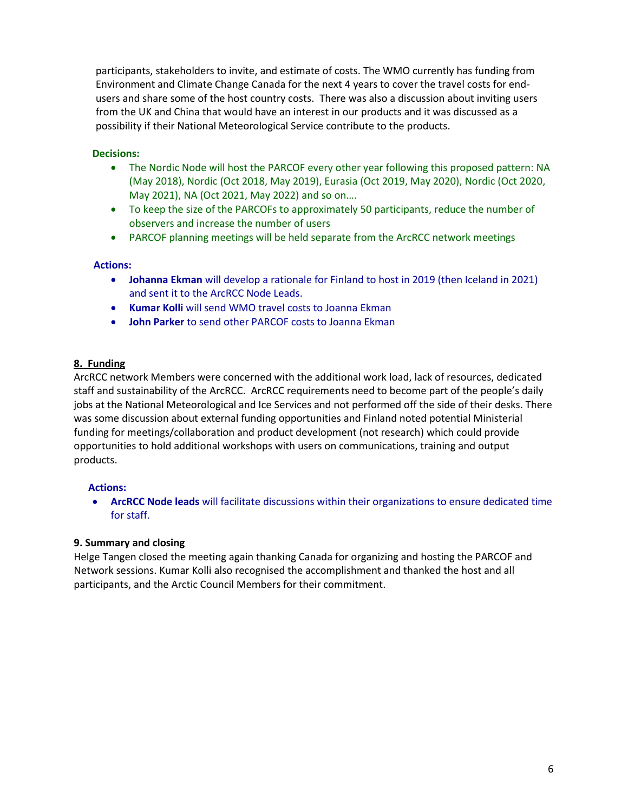participants, stakeholders to invite, and estimate of costs. The WMO currently has funding from Environment and Climate Change Canada for the next 4 years to cover the travel costs for endusers and share some of the host country costs. There was also a discussion about inviting users from the UK and China that would have an interest in our products and it was discussed as a possibility if their National Meteorological Service contribute to the products.

# **Decisions:**

- The Nordic Node will host the PARCOF every other year following this proposed pattern: NA (May 2018), Nordic (Oct 2018, May 2019), Eurasia (Oct 2019, May 2020), Nordic (Oct 2020, May 2021), NA (Oct 2021, May 2022) and so on….
- To keep the size of the PARCOFs to approximately 50 participants, reduce the number of observers and increase the number of users
- PARCOF planning meetings will be held separate from the ArcRCC network meetings

### **Actions:**

- **Johanna Ekman** will develop a rationale for Finland to host in 2019 (then Iceland in 2021) and sent it to the ArcRCC Node Leads.
- **Kumar Kolli** will send WMO travel costs to Joanna Ekman
- **John Parker** to send other PARCOF costs to Joanna Ekman

## **8. Funding**

ArcRCC network Members were concerned with the additional work load, lack of resources, dedicated staff and sustainability of the ArcRCC. ArcRCC requirements need to become part of the people's daily jobs at the National Meteorological and Ice Services and not performed off the side of their desks. There was some discussion about external funding opportunities and Finland noted potential Ministerial funding for meetings/collaboration and product development (not research) which could provide opportunities to hold additional workshops with users on communications, training and output products.

### **Actions:**

 **ArcRCC Node leads** will facilitate discussions within their organizations to ensure dedicated time for staff.

### **9. Summary and closing**

Helge Tangen closed the meeting again thanking Canada for organizing and hosting the PARCOF and Network sessions. Kumar Kolli also recognised the accomplishment and thanked the host and all participants, and the Arctic Council Members for their commitment.